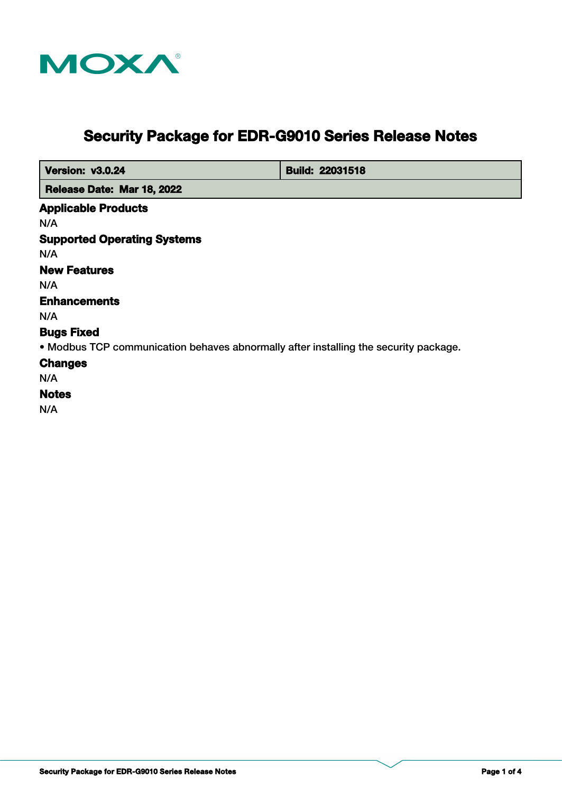

# **Security Package for EDR-G9010 Series Release Notes**

| <b>Version: v3.0.24</b>                                                              | <b>Build: 22031518</b> |
|--------------------------------------------------------------------------------------|------------------------|
| Release Date: Mar 18, 2022                                                           |                        |
| <b>Applicable Products</b>                                                           |                        |
| N/A                                                                                  |                        |
| <b>Supported Operating Systems</b>                                                   |                        |
| N/A                                                                                  |                        |
| <b>New Features</b>                                                                  |                        |
| N/A                                                                                  |                        |
| <b>Enhancements</b>                                                                  |                        |
| N/A                                                                                  |                        |
| <b>Bugs Fixed</b>                                                                    |                        |
| • Modbus TCP communication behaves abnormally after installing the security package. |                        |
| <b>Changes</b>                                                                       |                        |
| N/A                                                                                  |                        |
| <b>Notes</b>                                                                         |                        |
| N/A                                                                                  |                        |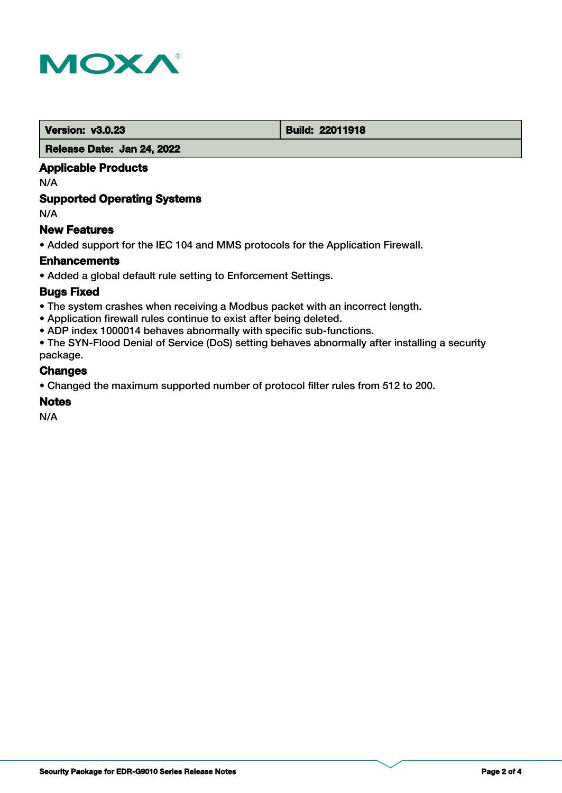

**Version: v3.0.23 Build: 22011918** 

#### **Release Date: Jan 24, 2022**

# **Applicable Products**

N/A

# **Supported Operating Systems**

N/A

# **New Features**

• Added support for the IEC 104 and MMS protocols for the Application Firewall.

#### **Enhancements**

• Added a global default rule setting to Enforcement Settings.

#### **Bugs Fixed**

- The system crashes when receiving a Modbus packet with an incorrect length.
- Application firewall rules continue to exist after being deleted.
- ADP index 1000014 behaves abnormally with specific sub-functions.

• The SYN-Flood Denial of Service (DoS) setting behaves abnormally after installing a security package.

#### **Changes**

• Changed the maximum supported number of protocol filter rules from 512 to 200.

# **Notes**

N/A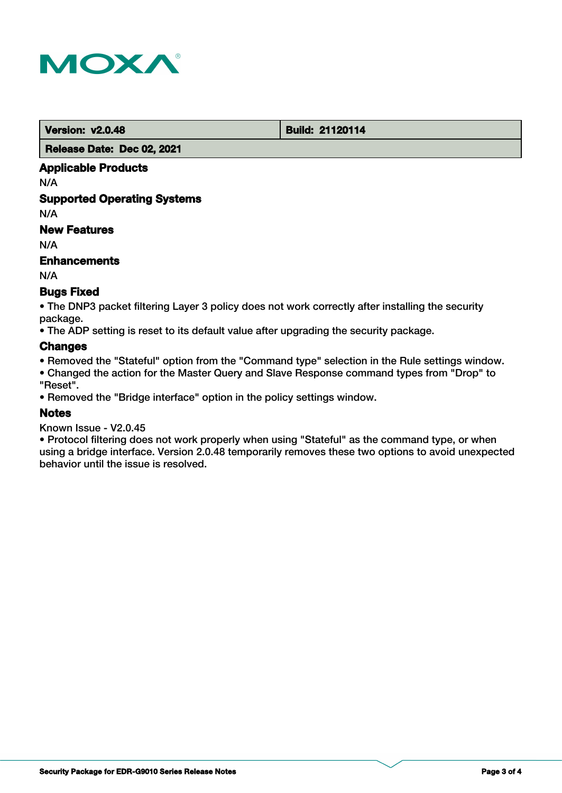

**Version: v2.0.48 Build: 21120114** 

 **Release Date: Dec 02, 2021**

# **Applicable Products**

N/A

# **Supported Operating Systems**

N/A

# **New Features**

N/A

# **Enhancements**

N/A

# **Bugs Fixed**

• The DNP3 packet filtering Layer 3 policy does not work correctly after installing the security package.

• The ADP setting is reset to its default value after upgrading the security package.

#### **Changes**

• Removed the "Stateful" option from the "Command type" selection in the Rule settings window.

• Changed the action for the Master Query and Slave Response command types from "Drop" to "Reset".

• Removed the "Bridge interface" option in the policy settings window.

# **Notes**

Known Issue - V2.0.45

• Protocol filtering does not work properly when using "Stateful" as the command type, or when using a bridge interface. Version 2.0.48 temporarily removes these two options to avoid unexpected behavior until the issue is resolved.